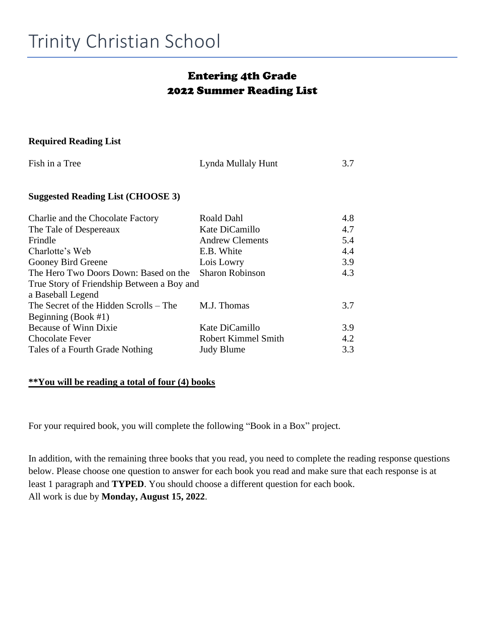## Entering 4th Grade 2022 Summer Reading List

#### **Required Reading List**

| Fish in a Tree                             | Lynda Mullaly Hunt     | 3.7 |  |
|--------------------------------------------|------------------------|-----|--|
| <b>Suggested Reading List (CHOOSE 3)</b>   |                        |     |  |
| Charlie and the Chocolate Factory          | Roald Dahl             | 4.8 |  |
| The Tale of Despereaux                     | Kate DiCamillo         | 4.7 |  |
| Frindle                                    | <b>Andrew Clements</b> | 5.4 |  |
| Charlotte's Web                            | E.B. White             | 4.4 |  |
| Gooney Bird Greene                         | Lois Lowry             | 3.9 |  |
| The Hero Two Doors Down: Based on the      | <b>Sharon Robinson</b> | 4.3 |  |
| True Story of Friendship Between a Boy and |                        |     |  |
| a Baseball Legend                          |                        |     |  |
| The Secret of the Hidden Scrolls – The     | M.J. Thomas            | 3.7 |  |
| Beginning (Book #1)                        |                        |     |  |
| <b>Because of Winn Dixie</b>               | Kate DiCamillo         | 3.9 |  |
| <b>Chocolate Fever</b>                     | Robert Kimmel Smith    | 4.2 |  |
| Tales of a Fourth Grade Nothing            | <b>Judy Blume</b>      | 3.3 |  |

#### **\*\*You will be reading a total of four (4) books**

For your required book, you will complete the following "Book in a Box" project.

In addition, with the remaining three books that you read, you need to complete the reading response questions below. Please choose one question to answer for each book you read and make sure that each response is at least 1 paragraph and **TYPED**. You should choose a different question for each book. All work is due by **Monday, August 15, 2022**.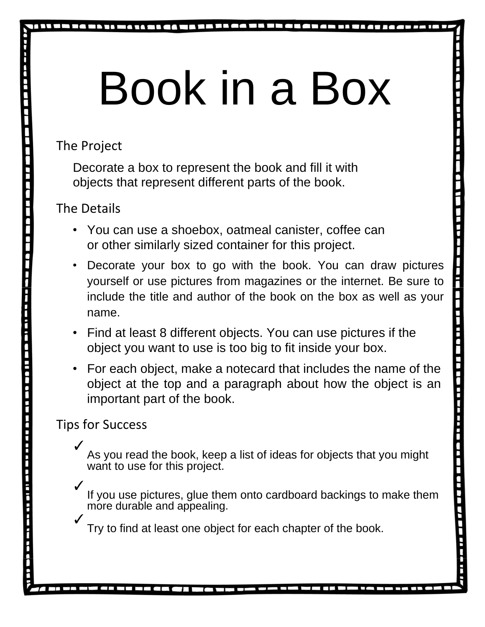# Book in a Box

The Project

Decorate a box to represent the book and fill it with objects that represent different parts of the book.

The Details

- You can use a shoebox, oatmeal canister, coffee can or other similarly sized container for this project.
- Decorate your box to go with the book. You can draw pictures yourself or use pictures from magazines or the internet. Be sure to include the title and author of the book on the box as well as your name.
- Find at least 8 different objects. You can use pictures if the object you want to use is too big to fit inside your box.
- For each object, make a notecard that includes the name of the object at the top and a paragraph about how the object is an important part of the book.

# Tips for Success

J

✓ As you read the book, keep a list of ideas for objects that you might want to use for this project.

- ✓ If you use pictures, glue them onto cardboard backings to make them more durable and appealing.
- ✓ Try to find at least one object for each chapter of the book.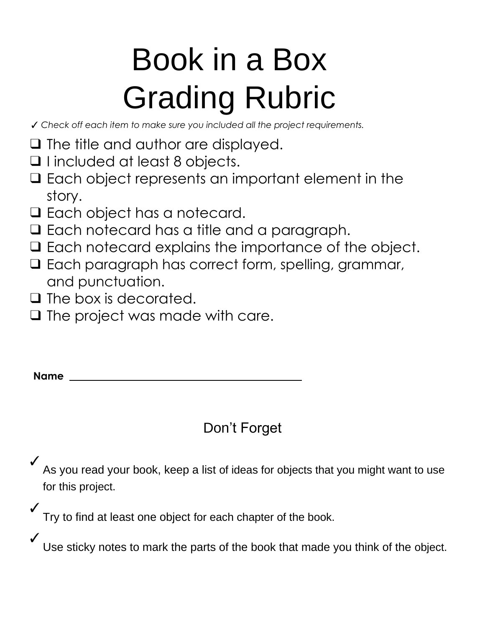# Book in a Box Grading Rubric

✓ *Check off each item to make sure you included all the project requirements.*

- ❑ The title and author are displayed.
- ❑ I included at least 8 objects.
- ❑ Each object represents an important element in the story.
- ❑ Each object has a notecard.
- ❑ Each notecard has a title and a paragraph.
- ❑ Each notecard explains the importance of the object.
- ❑ Each paragraph has correct form, spelling, grammar, and punctuation.
- ❑ The box is decorated.
- ❑ The project was made with care.

| <b>Name</b> |  |
|-------------|--|
|             |  |
|             |  |

# Don't Forget

✓ As you read your book, keep a list of ideas for objects that you might want to use for this project.

✓ Try to find at least one object for each chapter of the book.

✓ Use sticky notes to mark the parts of the book that made you think of the object.